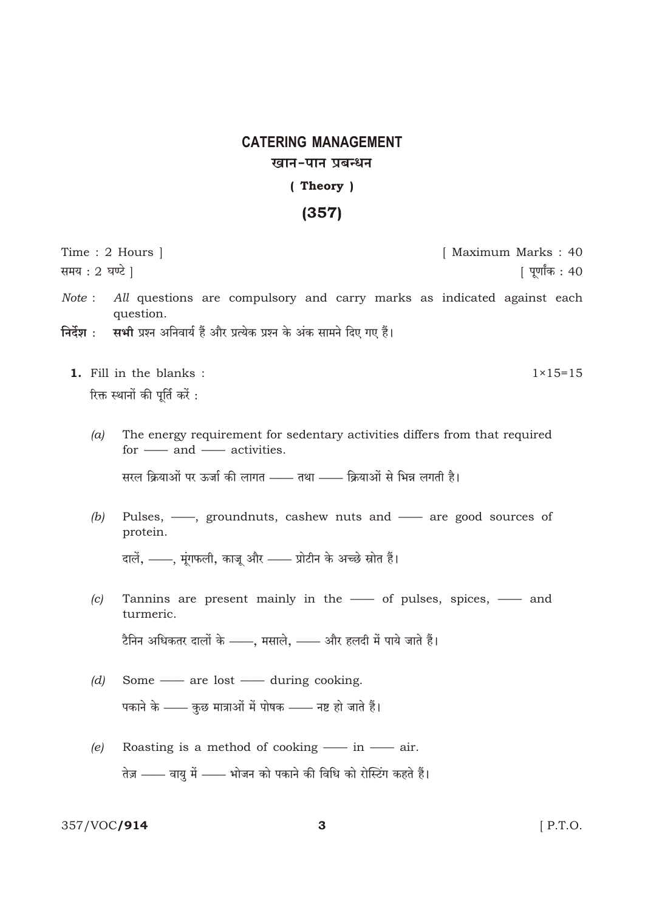## **CATERING MANAGEMENT** खान-पान प्रबन्धन (Theory)

## $(357)$

| समय : 2 घण्टे |     | Time : 2 Hours $\vert$<br>[ Maximum Marks : 40<br>  पूर्णांक : 40                                                                                                                                                             |
|---------------|-----|-------------------------------------------------------------------------------------------------------------------------------------------------------------------------------------------------------------------------------|
|               |     | <i>Note</i> : All questions are compulsory and carry marks as indicated against each<br>question.<br>निर्देश :     सभी प्रश्न अनिवार्य हैं और प्रत्येक प्रश्न के अंक सामने दिए गए हैं।                                        |
|               |     | 1. Fill in the blanks :<br>$1 \times 15 = 15$<br>रिक्त स्थानों की पूर्ति करें :                                                                                                                                               |
|               | (a) | The energy requirement for sedentary activities differs from that required<br>for $\frac{1}{\sqrt{1 - x^2}}$ and $\frac{1}{\sqrt{1 - x^2}}$ activities.<br>सरल क्रियाओं पर ऊर्जा की लागत —— तथा —— क्रियाओं से भिन्न लगती है। |
|               | (b) | Pulses, -, groundnuts, cashew nuts and - are good sources of<br>protein.<br>दालें, ——, मूंगफली, काजू और —— प्रोटीन के अच्छे स्रोत हैं।                                                                                        |
|               | (c) | Tannins are present mainly in the - of pulses, spices, - and<br>turmeric.                                                                                                                                                     |

टैनिन अधिकतर दालों के ——, मसाले, —— और हलदी में पाये जाते हैं।

- $(d)$  Some are lost during cooking. पकाने के —— कुछ मात्राओं में पोषक —— नष्ट हो जाते हैं।
- Roasting is a method of cooking in air.  $(e)$ तेज़ —— वायु में —— भोजन को पकाने की विधि को रोस्टिंग कहते हैं।

357/VOC/914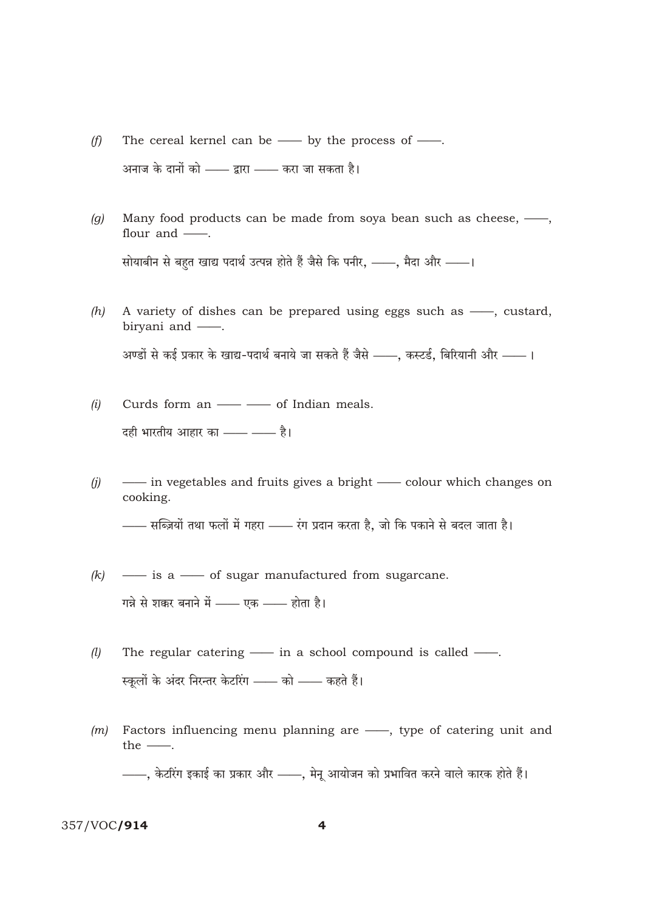- The cereal kernel can be  $\_\_$  by the process of  $\_\_$ .  $(f)$ अनाज के दानों को —— द्वारा —— करा जा सकता है।
- Many food products can be made from soya bean such as cheese, -,  $(g)$ flour and  $\_\_$ . सोयाबीन से बहुत खाद्य पदार्थ उत्पन्न होते हैं जैसे कि पनीर, ——, मैदा और ——।
- A variety of dishes can be prepared using eggs such as -, custard,  $(h)$ birvani and -अण्डों से कई प्रकार के खाद्य-पदार्थ बनाये जा सकते हैं जैसे ——, कस्टर्ड, बिरियानी और ——।
- Curds form an - of Indian meals.  $(i)$ दही भारतीय आहार का —— —— है।
- in vegetables and fruits gives a bright colour which changes on  $(i)$ cooking.

—— सब्ज़ियों तथा फलों में गहरा —— रंग प्रदान करता है, जो कि पकाने से बदल जाता है।

- is a of sugar manufactured from sugarcane.  $(k)$ गन्ने से शक्कर बनाने में —— एक —— होता है।
- The regular catering  $\frac{1}{\sqrt{1-\frac{1}{\sqrt{1-\frac{1}{\sqrt{1-\frac{1}{\sqrt{1-\frac{1}{\sqrt{1-\frac{1}{\sqrt{1-\frac{1}{\sqrt{1-\frac{1}{\sqrt{1-\frac{1}{\sqrt{1-\frac{1}{\sqrt{1-\frac{1}{\sqrt{1-\frac{1}{\sqrt{1-\frac{1}{\sqrt{1-\frac{1}{\sqrt{1-\frac{1}{\sqrt{1-\frac{1}{\sqrt{1-\frac{1}{\sqrt{1-\frac{1}{\sqrt{1-\frac{1}{\sqrt{1-\frac{1}{\sqrt{1-\frac{1}{\sqrt{1-\frac{1}{\sqrt{1-\$  $(l)$ स्कूलों के अंदर निरन्तर केटरिंग —— को —— कहते हैं।
- Factors influencing menu planning are —, type of catering unit and  $(m)$ the  $\_\_$ . -, केटरिंग इकाई का प्रकार और --, मेनू आयोजन को प्रभावित करने वाले कारक होते हैं।

## 357/VOC/914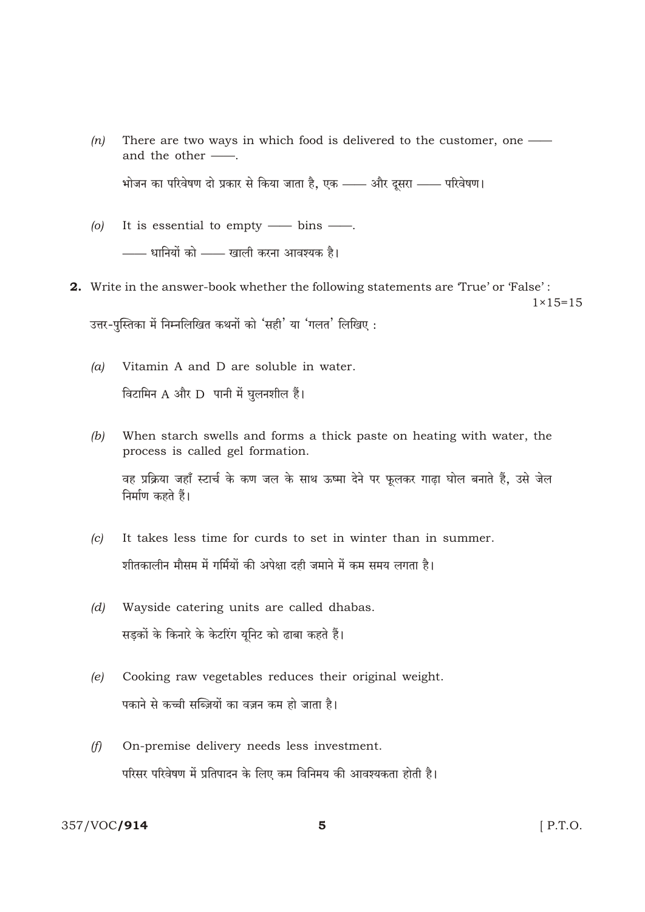- There are two ways in which food is delivered to the customer, one  $(n)$ and the other -भोजन का परिवेषण दो प्रकार से किया जाता है. एक —— और दूसरा —— परिवेषण।
- $\left( 0 \right)$ It is essential to empty  $\_\_$  bins  $\_\_$ . —— धानियों को —— खाली करना आवश्यक है।
- 2. Write in the answer-book whether the following statements are 'True' or 'False':  $1 \times 15 = 15$ उत्तर-पुस्तिका में निम्नलिखित कथनों को 'सही' या 'गलत' लिखिए:
	- Vitamin A and D are soluble in water.  $(a)$ विटामिन A और D पानी में घुलनशील हैं।
	- When starch swells and forms a thick paste on heating with water, the  $(b)$ process is called gel formation.

वह प्रक्रिया जहाँ स्टार्च के कण जल के साथ ऊष्मा देने पर फूलकर गाढ़ा घोल बनाते हैं, उसे जेल निर्माण कहते हैं।

- It takes less time for curds to set in winter than in summer.  $(c)$ शीतकालीन मौसम में गर्मियों की अपेक्षा दही जमाने में कम समय लगता है।
- Wayside catering units are called dhabas.  $(d)$ सड़कों के किनारे के केटरिंग यूनिट को ढाबा कहते हैं।
- Cooking raw vegetables reduces their original weight.  $(e)$ पकाने से कच्ची सब्ज़ियों का वज़न कम हो जाता है।
- On-premise delivery needs less investment.  $(f)$ परिसर परिवेषण में प्रतिपादन के लिए कम विनिमय की आवश्यकता होती है।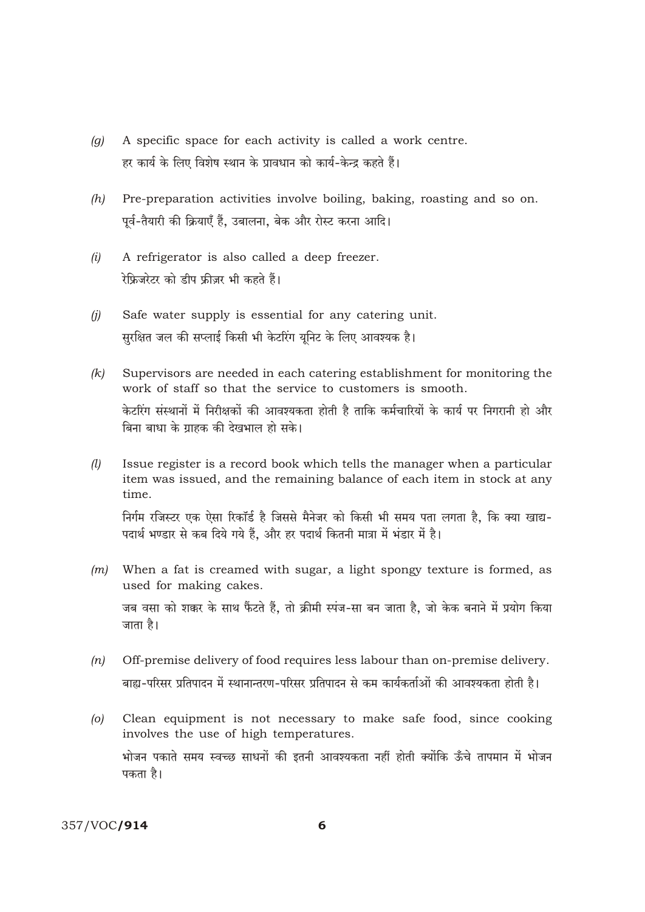- A specific space for each activity is called a work centre.  $(q)$ हर कार्य के लिए विशेष स्थान के प्रावधान को कार्य-केन्द्र कहते हैं।
- $(h)$ Pre-preparation activities involve boiling, baking, roasting and so on. पर्व-तैयारी की क्रियाएँ हैं. उबालना. बेक और रोस्ट करना आदि।
- A refrigerator is also called a deep freezer.  $(i)$ रेफ्रिजरेटर को डीप फ्रीज़र भी कहते हैं।
- Safe water supply is essential for any catering unit.  $(i)$ सरक्षित जल की सप्लाई किसी भी केटरिंग यनिट के लिए आवश्यक है।
- Supervisors are needed in each catering establishment for monitoring the  $(k)$ work of staff so that the service to customers is smooth. केटरिंग संस्थानों में निरीक्षकों की आवश्यकता होती है ताकि कर्मचारियों के कार्य पर निगरानी हो और बिना बाधा के ग्राहक की देखभाल हो सके।
- Issue register is a record book which tells the manager when a particular  $(l)$ item was issued, and the remaining balance of each item in stock at any time.

निर्गम रजिस्टर एक ऐसा रिकॉर्ड है जिससे मैनेजर को किसी भी समय पता लगता है, कि क्या खाद्य-पदार्थ भण्डार से कब दिये गये हैं, और हर पदार्थ कितनी मात्रा में भंडार में है।

- When a fat is creamed with sugar, a light spongy texture is formed, as  $(m)$ used for making cakes. जब वसा को शक्कर के साथ फैंटते हैं, तो क्रीमी स्पंज-सा बन जाता है, जो केक बनाने में प्रयोग किया जाता है।
- Off-premise delivery of food requires less labour than on-premise delivery.  $(n)$ बाह्य-परिसर प्रतिपादन में स्थानान्तरण-परिसर प्रतिपादन से कम कार्यकर्ताओं की आवश्यकता होती है।
- $\omega$ Clean equipment is not necessary to make safe food, since cooking involves the use of high temperatures. भोजन पकाते समय स्वच्छ साधनों की इतनी आवश्यकता नहीं होती क्योंकि ऊँचे तापमान में भोजन पकता है।

357/VOC/914